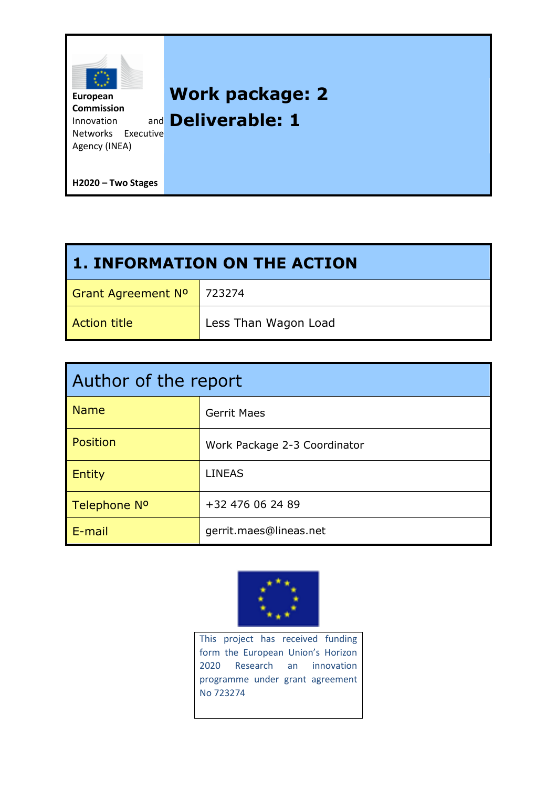

| <b>1. INFORMATION ON THE ACTION</b> |                      |
|-------------------------------------|----------------------|
| <b>Grant Agreement Nº</b>           | 723274               |
| <b>Action title</b>                 | Less Than Wagon Load |

| Author of the report |                              |
|----------------------|------------------------------|
| <b>Name</b>          | <b>Gerrit Maes</b>           |
| Position             | Work Package 2-3 Coordinator |
| <b>Entity</b>        | <b>LINEAS</b>                |
| Telephone Nº         | +32 476 06 24 89             |
| E-mail               | gerrit.maes@lineas.net       |



This project has received funding form the European Union's Horizon 2020 Research an innovation programme under grant agreement No 723274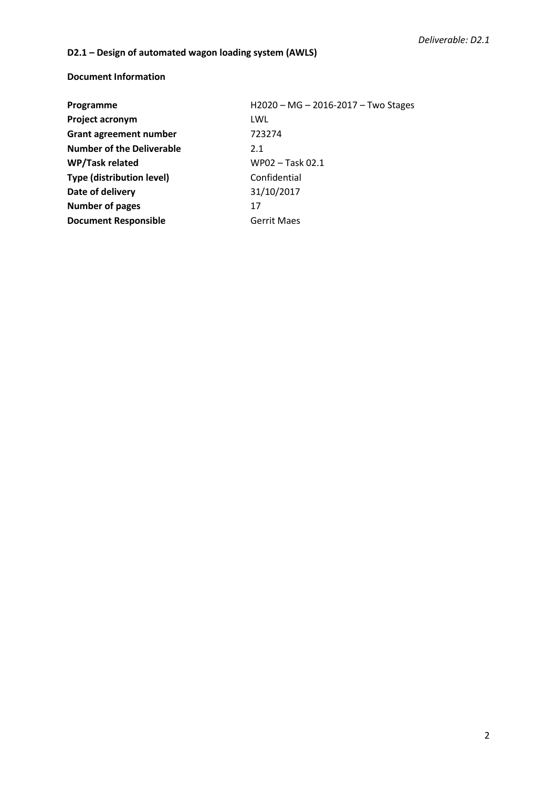# **D2.1 – Design of automated wagon loading system (AWLS)**

### **Document Information**

| Programme                        | H2020 - MG - 2016-2017 - Two Stages |
|----------------------------------|-------------------------------------|
| Project acronym                  | LWL                                 |
| <b>Grant agreement number</b>    | 723274                              |
| <b>Number of the Deliverable</b> | 2.1                                 |
| WP/Task related                  | WP02 - Task 02.1                    |
| <b>Type (distribution level)</b> | Confidential                        |
| Date of delivery                 | 31/10/2017                          |
| <b>Number of pages</b>           | 17                                  |
| <b>Document Responsible</b>      | <b>Gerrit Maes</b>                  |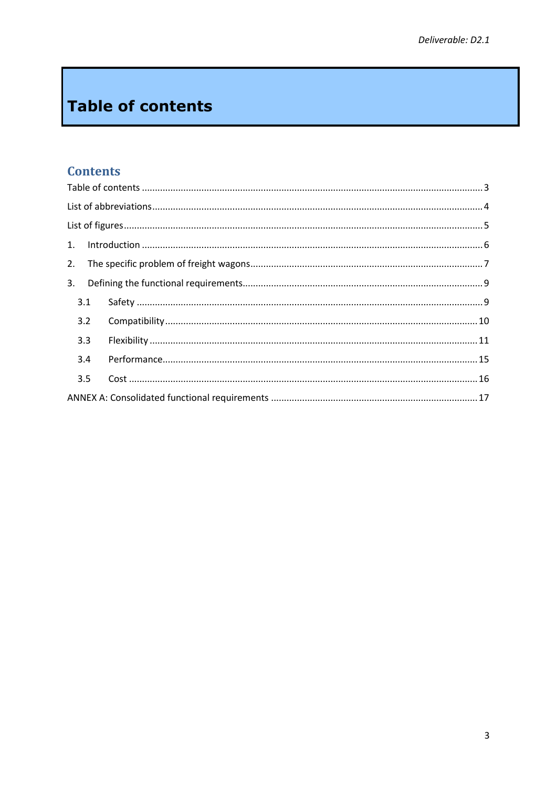# <span id="page-2-0"></span>**Table of contents**

# **Contents**

| 2.  |  |
|-----|--|
| 3.  |  |
| 3.1 |  |
| 3.2 |  |
| 3.3 |  |
| 3.4 |  |
| 3.5 |  |
|     |  |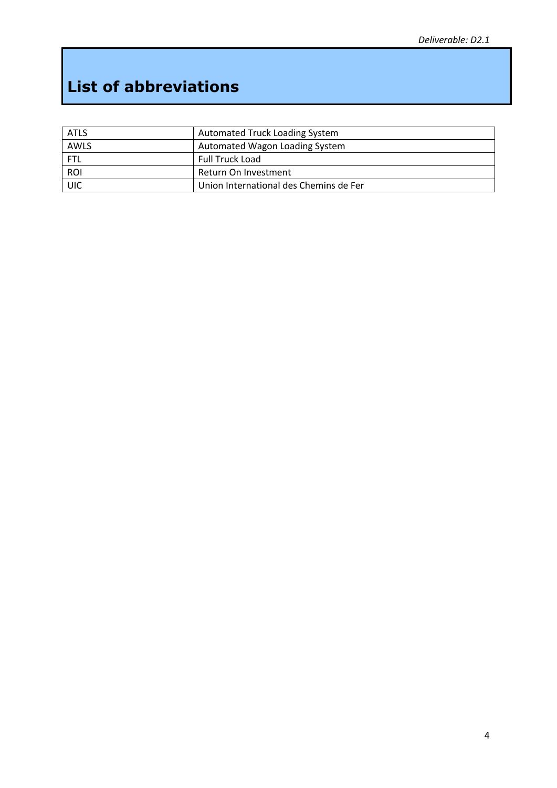# <span id="page-3-0"></span>**List of abbreviations**

| <b>ATLS</b> | <b>Automated Truck Loading System</b>  |
|-------------|----------------------------------------|
| AWLS        | Automated Wagon Loading System         |
| <b>FTL</b>  | Full Truck Load                        |
| <b>ROI</b>  | Return On Investment                   |
| UIC         | Union International des Chemins de Fer |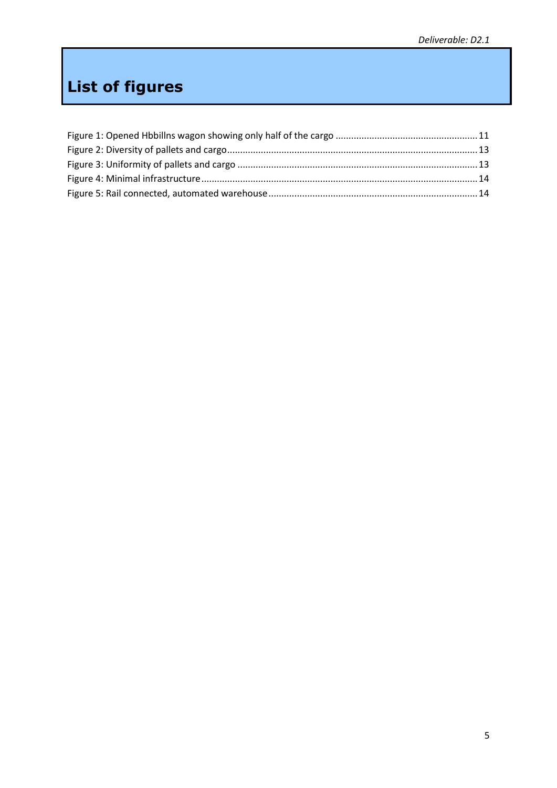# <span id="page-4-0"></span>**List of figures**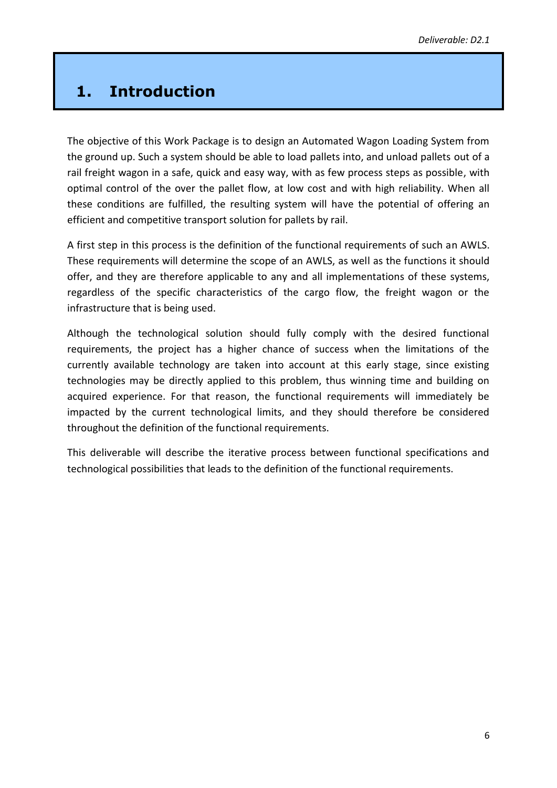# <span id="page-5-0"></span>**1. Introduction**

The objective of this Work Package is to design an Automated Wagon Loading System from the ground up. Such a system should be able to load pallets into, and unload pallets out of a rail freight wagon in a safe, quick and easy way, with as few process steps as possible, with optimal control of the over the pallet flow, at low cost and with high reliability. When all these conditions are fulfilled, the resulting system will have the potential of offering an efficient and competitive transport solution for pallets by rail.

A first step in this process is the definition of the functional requirements of such an AWLS. These requirements will determine the scope of an AWLS, as well as the functions it should offer, and they are therefore applicable to any and all implementations of these systems, regardless of the specific characteristics of the cargo flow, the freight wagon or the infrastructure that is being used.

Although the technological solution should fully comply with the desired functional requirements, the project has a higher chance of success when the limitations of the currently available technology are taken into account at this early stage, since existing technologies may be directly applied to this problem, thus winning time and building on acquired experience. For that reason, the functional requirements will immediately be impacted by the current technological limits, and they should therefore be considered throughout the definition of the functional requirements.

This deliverable will describe the iterative process between functional specifications and technological possibilities that leads to the definition of the functional requirements.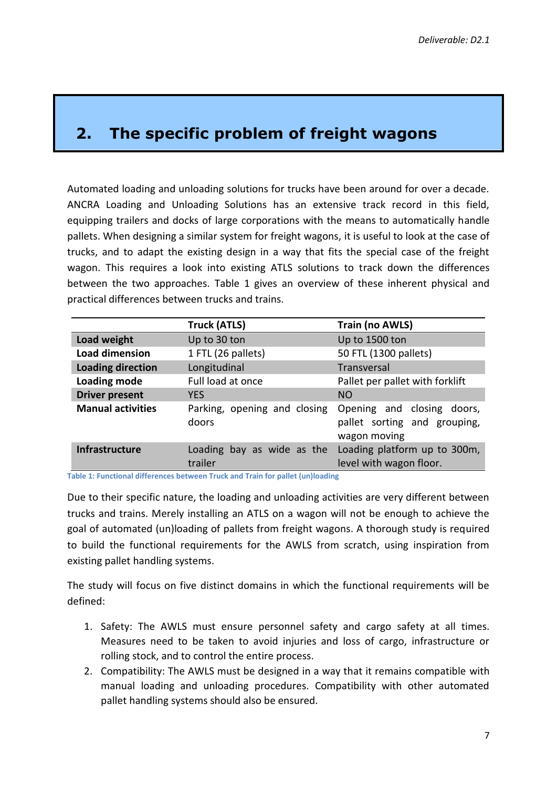# <span id="page-6-0"></span>**2. The specific problem of freight wagons**

Automated loading and unloading solutions for trucks have been around for over a decade. ANCRA Loading and Unloading Solutions has an extensive track record in this field, equipping trailers and docks of large corporations with the means to automatically handle pallets. When designing a similar system for freight wagons, it is useful to look at the case of trucks, and to adapt the existing design in a way that fits the special case of the freight wagon. This requires a look into existing ATLS solutions to track down the differences between the two approaches. Table 1 gives an overview of these inherent physical and practical differences between trucks and trains.

|                          | <b>Truck (ATLS)</b>                   | <b>Train (no AWLS)</b>                                                     |
|--------------------------|---------------------------------------|----------------------------------------------------------------------------|
| Load weight              | Up to 30 ton                          | Up to 1500 ton                                                             |
| Load dimension           | 1 FTL (26 pallets)                    | 50 FTL (1300 pallets)                                                      |
| <b>Loading direction</b> | Longitudinal                          | Transversal                                                                |
| Loading mode             | Full load at once                     | Pallet per pallet with forklift                                            |
| <b>Driver present</b>    | <b>YES</b>                            | <b>NO</b>                                                                  |
| <b>Manual activities</b> | Parking, opening and closing<br>doors | Opening and closing doors,<br>pallet sorting and grouping,<br>wagon moving |
| <b>Infrastructure</b>    | Loading bay as wide as the<br>trailer | Loading platform up to 300m,<br>level with wagon floor.                    |

**Table 1: Functional differences between Truck and Train for pallet (un)loading**

Due to their specific nature, the loading and unloading activities are very different between trucks and trains. Merely installing an ATLS on a wagon will not be enough to achieve the goal of automated (un)loading of pallets from freight wagons. A thorough study is required to build the functional requirements for the AWLS from scratch, using inspiration from existing pallet handling systems.

The study will focus on five distinct domains in which the functional requirements will be defined:

- 1. Safety: The AWLS must ensure personnel safety and cargo safety at all times. Measures need to be taken to avoid injuries and loss of cargo, infrastructure or rolling stock, and to control the entire process.
- 2. Compatibility: The AWLS must be designed in a way that it remains compatible with manual loading and unloading procedures. Compatibility with other automated pallet handling systems should also be ensured.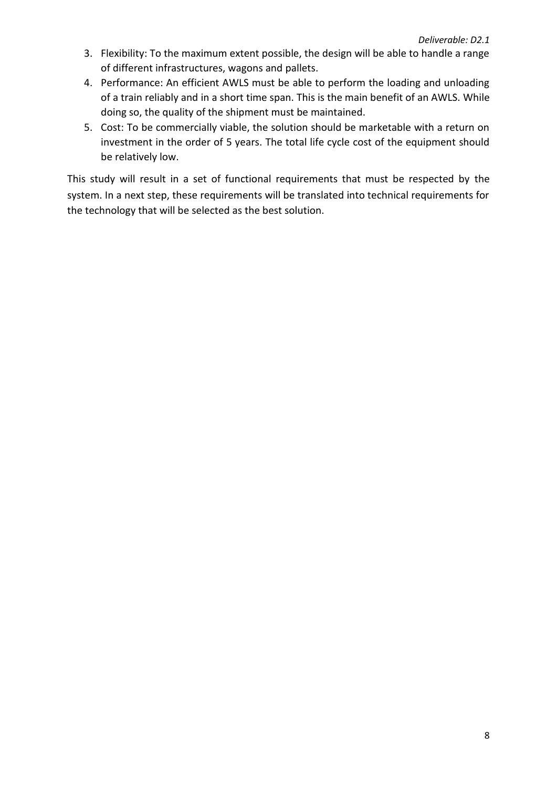- 3. Flexibility: To the maximum extent possible, the design will be able to handle a range of different infrastructures, wagons and pallets.
- 4. Performance: An efficient AWLS must be able to perform the loading and unloading of a train reliably and in a short time span. This is the main benefit of an AWLS. While doing so, the quality of the shipment must be maintained.
- 5. Cost: To be commercially viable, the solution should be marketable with a return on investment in the order of 5 years. The total life cycle cost of the equipment should be relatively low.

This study will result in a set of functional requirements that must be respected by the system. In a next step, these requirements will be translated into technical requirements for the technology that will be selected as the best solution.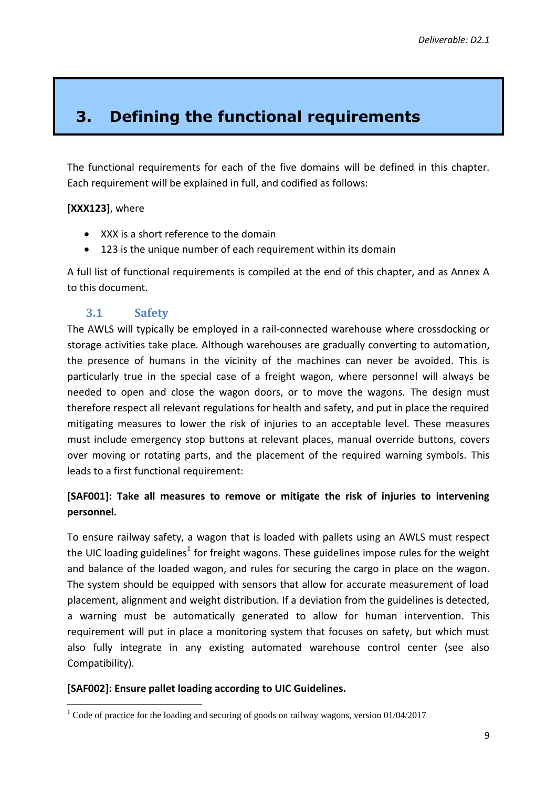# <span id="page-8-0"></span>**3. Defining the functional requirements**

The functional requirements for each of the five domains will be defined in this chapter. Each requirement will be explained in full, and codified as follows:

### **[XXX123]**, where

- XXX is a short reference to the domain
- 123 is the unique number of each requirement within its domain

A full list of functional requirements is compiled at the end of this chapter, and as Annex A to this document.

### **3.1 Safety**

<span id="page-8-1"></span>The AWLS will typically be employed in a rail-connected warehouse where crossdocking or storage activities take place. Although warehouses are gradually converting to automation, the presence of humans in the vicinity of the machines can never be avoided. This is particularly true in the special case of a freight wagon, where personnel will always be needed to open and close the wagon doors, or to move the wagons. The design must therefore respect all relevant regulations for health and safety, and put in place the required mitigating measures to lower the risk of injuries to an acceptable level. These measures must include emergency stop buttons at relevant places, manual override buttons, covers over moving or rotating parts, and the placement of the required warning symbols. This leads to a first functional requirement:

# **[SAF001]: Take all measures to remove or mitigate the risk of injuries to intervening personnel.**

To ensure railway safety, a wagon that is loaded with pallets using an AWLS must respect the UIC loading guidelines<sup>1</sup> for freight wagons. These guidelines impose rules for the weight and balance of the loaded wagon, and rules for securing the cargo in place on the wagon. The system should be equipped with sensors that allow for accurate measurement of load placement, alignment and weight distribution. If a deviation from the guidelines is detected, a warning must be automatically generated to allow for human intervention. This requirement will put in place a monitoring system that focuses on safety, but which must also fully integrate in any existing automated warehouse control center (see also Compatibility).

#### **[SAF002]: Ensure pallet loading according to UIC Guidelines.**

 $\overline{a}$  $1$  Code of practice for the loading and securing of goods on railway wagons, version 01/04/2017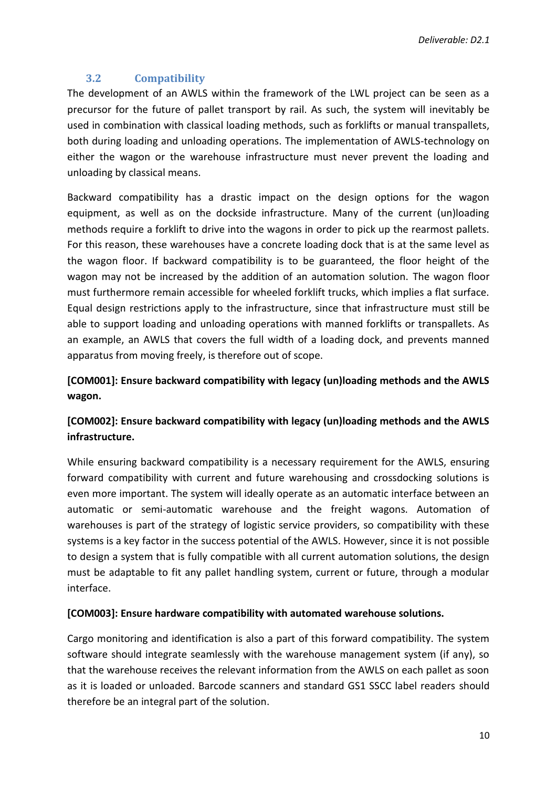### **3.2 Compatibility**

<span id="page-9-0"></span>The development of an AWLS within the framework of the LWL project can be seen as a precursor for the future of pallet transport by rail. As such, the system will inevitably be used in combination with classical loading methods, such as forklifts or manual transpallets, both during loading and unloading operations. The implementation of AWLS-technology on either the wagon or the warehouse infrastructure must never prevent the loading and unloading by classical means.

Backward compatibility has a drastic impact on the design options for the wagon equipment, as well as on the dockside infrastructure. Many of the current (un)loading methods require a forklift to drive into the wagons in order to pick up the rearmost pallets. For this reason, these warehouses have a concrete loading dock that is at the same level as the wagon floor. If backward compatibility is to be guaranteed, the floor height of the wagon may not be increased by the addition of an automation solution. The wagon floor must furthermore remain accessible for wheeled forklift trucks, which implies a flat surface. Equal design restrictions apply to the infrastructure, since that infrastructure must still be able to support loading and unloading operations with manned forklifts or transpallets. As an example, an AWLS that covers the full width of a loading dock, and prevents manned apparatus from moving freely, is therefore out of scope.

# **[COM001]: Ensure backward compatibility with legacy (un)loading methods and the AWLS wagon.**

# **[COM002]: Ensure backward compatibility with legacy (un)loading methods and the AWLS infrastructure.**

While ensuring backward compatibility is a necessary requirement for the AWLS, ensuring forward compatibility with current and future warehousing and crossdocking solutions is even more important. The system will ideally operate as an automatic interface between an automatic or semi-automatic warehouse and the freight wagons. Automation of warehouses is part of the strategy of logistic service providers, so compatibility with these systems is a key factor in the success potential of the AWLS. However, since it is not possible to design a system that is fully compatible with all current automation solutions, the design must be adaptable to fit any pallet handling system, current or future, through a modular interface.

#### **[COM003]: Ensure hardware compatibility with automated warehouse solutions.**

Cargo monitoring and identification is also a part of this forward compatibility. The system software should integrate seamlessly with the warehouse management system (if any), so that the warehouse receives the relevant information from the AWLS on each pallet as soon as it is loaded or unloaded. Barcode scanners and standard GS1 SSCC label readers should therefore be an integral part of the solution.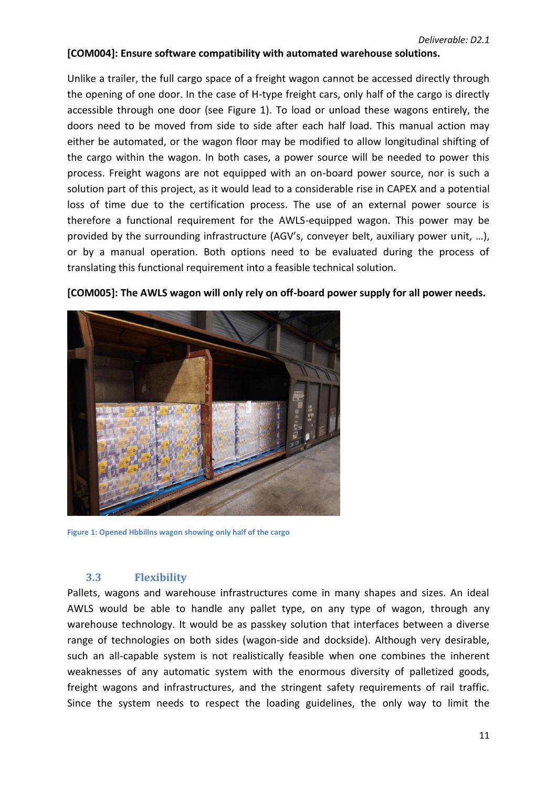#### **[COM004]: Ensure software compatibility with automated warehouse solutions.**

Unlike a trailer, the full cargo space of a freight wagon cannot be accessed directly through the opening of one door. In the case of H-type freight cars, only half of the cargo is directly accessible through one door (see [Figure 1\)](#page-10-1). To load or unload these wagons entirely, the doors need to be moved from side to side after each half load. This manual action may either be automated, or the wagon floor may be modified to allow longitudinal shifting of the cargo within the wagon. In both cases, a power source will be needed to power this process. Freight wagons are not equipped with an on-board power source, nor is such a solution part of this project, as it would lead to a considerable rise in CAPEX and a potential loss of time due to the certification process. The use of an external power source is therefore a functional requirement for the AWLS-equipped wagon. This power may be provided by the surrounding infrastructure (AGV's, conveyer belt, auxiliary power unit, …), or by a manual operation. Both options need to be evaluated during the process of translating this functional requirement into a feasible technical solution.



**[COM005]: The AWLS wagon will only rely on off-board power supply for all power needs.**

<span id="page-10-1"></span>**Figure 1: Opened Hbbillns wagon showing only half of the cargo**

#### **3.3 Flexibility**

<span id="page-10-0"></span>Pallets, wagons and warehouse infrastructures come in many shapes and sizes. An ideal AWLS would be able to handle any pallet type, on any type of wagon, through any warehouse technology. It would be as passkey solution that interfaces between a diverse range of technologies on both sides (wagon-side and dockside). Although very desirable, such an all-capable system is not realistically feasible when one combines the inherent weaknesses of any automatic system with the enormous diversity of palletized goods, freight wagons and infrastructures, and the stringent safety requirements of rail traffic. Since the system needs to respect the loading guidelines, the only way to limit the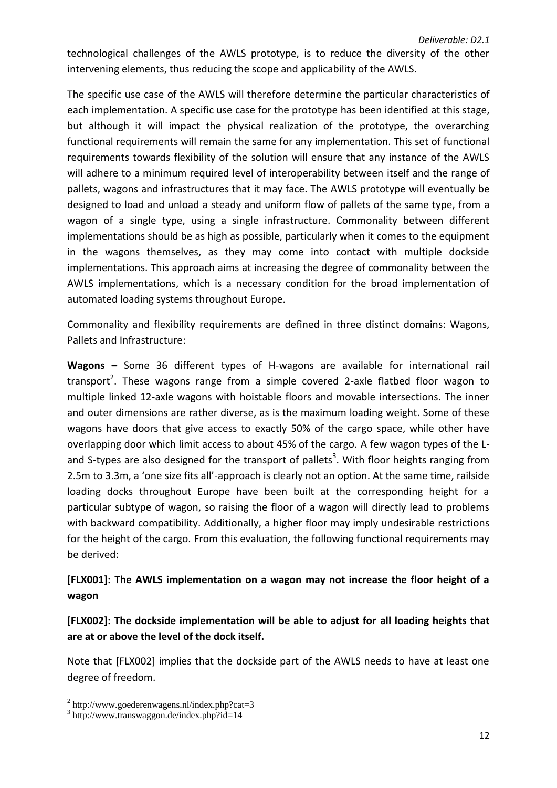technological challenges of the AWLS prototype, is to reduce the diversity of the other intervening elements, thus reducing the scope and applicability of the AWLS.

The specific use case of the AWLS will therefore determine the particular characteristics of each implementation. A specific use case for the prototype has been identified at this stage, but although it will impact the physical realization of the prototype, the overarching functional requirements will remain the same for any implementation. This set of functional requirements towards flexibility of the solution will ensure that any instance of the AWLS will adhere to a minimum required level of interoperability between itself and the range of pallets, wagons and infrastructures that it may face. The AWLS prototype will eventually be designed to load and unload a steady and uniform flow of pallets of the same type, from a wagon of a single type, using a single infrastructure. Commonality between different implementations should be as high as possible, particularly when it comes to the equipment in the wagons themselves, as they may come into contact with multiple dockside implementations. This approach aims at increasing the degree of commonality between the AWLS implementations, which is a necessary condition for the broad implementation of automated loading systems throughout Europe.

Commonality and flexibility requirements are defined in three distinct domains: Wagons, Pallets and Infrastructure:

**Wagons –** Some 36 different types of H-wagons are available for international rail transport<sup>2</sup>. These wagons range from a simple covered 2-axle flatbed floor wagon to multiple linked 12-axle wagons with hoistable floors and movable intersections. The inner and outer dimensions are rather diverse, as is the maximum loading weight. Some of these wagons have doors that give access to exactly 50% of the cargo space, while other have overlapping door which limit access to about 45% of the cargo. A few wagon types of the Land S-types are also designed for the transport of pallets<sup>3</sup>. With floor heights ranging from 2.5m to 3.3m, a 'one size fits all'-approach is clearly not an option. At the same time, railside loading docks throughout Europe have been built at the corresponding height for a particular subtype of wagon, so raising the floor of a wagon will directly lead to problems with backward compatibility. Additionally, a higher floor may imply undesirable restrictions for the height of the cargo. From this evaluation, the following functional requirements may be derived:

# **[FLX001]: The AWLS implementation on a wagon may not increase the floor height of a wagon**

# **[FLX002]: The dockside implementation will be able to adjust for all loading heights that are at or above the level of the dock itself.**

Note that [FLX002] implies that the dockside part of the AWLS needs to have at least one degree of freedom.

 2 http://www.goederenwagens.nl/index.php?cat=3

<sup>3</sup> http://www.transwaggon.de/index.php?id=14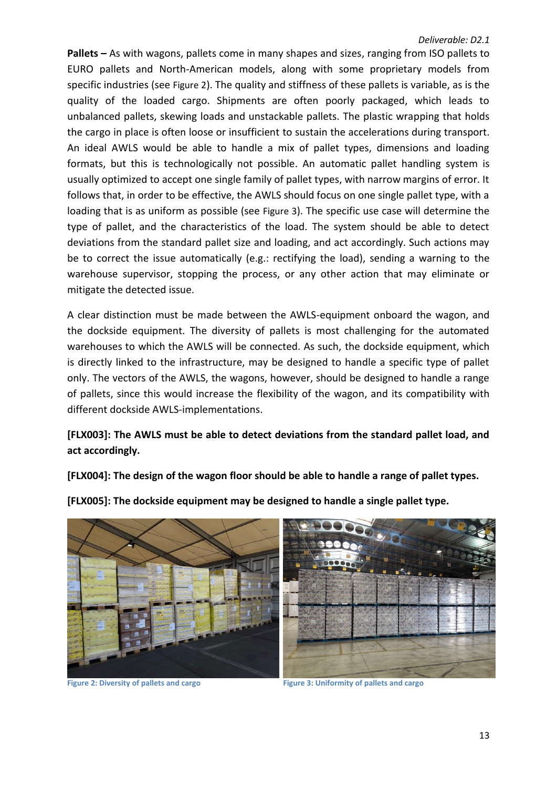**Pallets –** As with wagons, pallets come in many shapes and sizes, ranging from ISO pallets to EURO pallets and North-American models, along with some proprietary models from specific industries (see [Figure 2](#page-12-0)). The quality and stiffness of these pallets is variable, as is the quality of the loaded cargo. Shipments are often poorly packaged, which leads to unbalanced pallets, skewing loads and unstackable pallets. The plastic wrapping that holds the cargo in place is often loose or insufficient to sustain the accelerations during transport. An ideal AWLS would be able to handle a mix of pallet types, dimensions and loading formats, but this is technologically not possible. An automatic pallet handling system is usually optimized to accept one single family of pallet types, with narrow margins of error. It follows that, in order to be effective, the AWLS should focus on one single pallet type, with a loading that is as uniform as possible (see [Figure 3](#page-12-1)). The specific use case will determine the type of pallet, and the characteristics of the load. The system should be able to detect deviations from the standard pallet size and loading, and act accordingly. Such actions may be to correct the issue automatically (e.g.: rectifying the load), sending a warning to the warehouse supervisor, stopping the process, or any other action that may eliminate or mitigate the detected issue.

A clear distinction must be made between the AWLS-equipment onboard the wagon, and the dockside equipment. The diversity of pallets is most challenging for the automated warehouses to which the AWLS will be connected. As such, the dockside equipment, which is directly linked to the infrastructure, may be designed to handle a specific type of pallet only. The vectors of the AWLS, the wagons, however, should be designed to handle a range of pallets, since this would increase the flexibility of the wagon, and its compatibility with different dockside AWLS-implementations.

## **[FLX003]: The AWLS must be able to detect deviations from the standard pallet load, and act accordingly.**

**[FLX004]: The design of the wagon floor should be able to handle a range of pallet types.**





**[FLX005]: The dockside equipment may be designed to handle a single pallet type.**

<span id="page-12-1"></span>

<span id="page-12-0"></span>**Figure 2: Diversity of pallets and cargo Figure 3: Uniformity of pallets and cargo**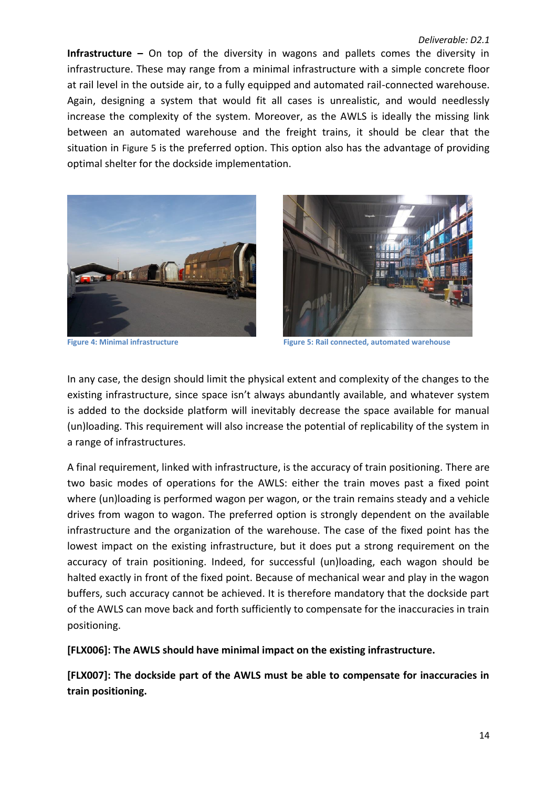#### *Deliverable: D2.1*

**Infrastructure –** On top of the diversity in wagons and pallets comes the diversity in infrastructure. These may range from a minimal infrastructure with a simple concrete floor at rail level in the outside air, to a fully equipped and automated rail-connected warehouse. Again, designing a system that would fit all cases is unrealistic, and would needlessly increase the complexity of the system. Moreover, as the AWLS is ideally the missing link between an automated warehouse and the freight trains, it should be clear that the situation in [Figure 5](#page-13-1) is the preferred option. This option also has the advantage of providing optimal shelter for the dockside implementation.





**Figure 4: Minimal infrastructure Figure 5: Rail connected, automated warehouse**

<span id="page-13-1"></span><span id="page-13-0"></span>In any case, the design should limit the physical extent and complexity of the changes to the existing infrastructure, since space isn't always abundantly available, and whatever system is added to the dockside platform will inevitably decrease the space available for manual (un)loading. This requirement will also increase the potential of replicability of the system in a range of infrastructures.

A final requirement, linked with infrastructure, is the accuracy of train positioning. There are two basic modes of operations for the AWLS: either the train moves past a fixed point where (un)loading is performed wagon per wagon, or the train remains steady and a vehicle drives from wagon to wagon. The preferred option is strongly dependent on the available infrastructure and the organization of the warehouse. The case of the fixed point has the lowest impact on the existing infrastructure, but it does put a strong requirement on the accuracy of train positioning. Indeed, for successful (un)loading, each wagon should be halted exactly in front of the fixed point. Because of mechanical wear and play in the wagon buffers, such accuracy cannot be achieved. It is therefore mandatory that the dockside part of the AWLS can move back and forth sufficiently to compensate for the inaccuracies in train positioning.

**[FLX006]: The AWLS should have minimal impact on the existing infrastructure.**

**[FLX007]: The dockside part of the AWLS must be able to compensate for inaccuracies in train positioning.**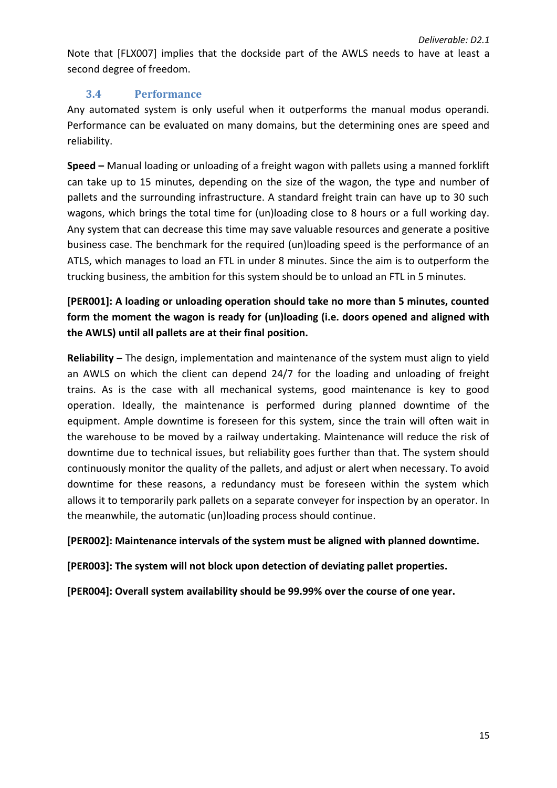Note that [FLX007] implies that the dockside part of the AWLS needs to have at least a second degree of freedom.

### **3.4 Performance**

<span id="page-14-0"></span>Any automated system is only useful when it outperforms the manual modus operandi. Performance can be evaluated on many domains, but the determining ones are speed and reliability.

**Speed –** Manual loading or unloading of a freight wagon with pallets using a manned forklift can take up to 15 minutes, depending on the size of the wagon, the type and number of pallets and the surrounding infrastructure. A standard freight train can have up to 30 such wagons, which brings the total time for (un)loading close to 8 hours or a full working day. Any system that can decrease this time may save valuable resources and generate a positive business case. The benchmark for the required (un)loading speed is the performance of an ATLS, which manages to load an FTL in under 8 minutes. Since the aim is to outperform the trucking business, the ambition for this system should be to unload an FTL in 5 minutes.

**[PER001]: A loading or unloading operation should take no more than 5 minutes, counted form the moment the wagon is ready for (un)loading (i.e. doors opened and aligned with the AWLS) until all pallets are at their final position.**

**Reliability –** The design, implementation and maintenance of the system must align to yield an AWLS on which the client can depend 24/7 for the loading and unloading of freight trains. As is the case with all mechanical systems, good maintenance is key to good operation. Ideally, the maintenance is performed during planned downtime of the equipment. Ample downtime is foreseen for this system, since the train will often wait in the warehouse to be moved by a railway undertaking. Maintenance will reduce the risk of downtime due to technical issues, but reliability goes further than that. The system should continuously monitor the quality of the pallets, and adjust or alert when necessary. To avoid downtime for these reasons, a redundancy must be foreseen within the system which allows it to temporarily park pallets on a separate conveyer for inspection by an operator. In the meanwhile, the automatic (un)loading process should continue.

**[PER002]: Maintenance intervals of the system must be aligned with planned downtime.**

**[PER003]: The system will not block upon detection of deviating pallet properties.**

**[PER004]: Overall system availability should be 99.99% over the course of one year.**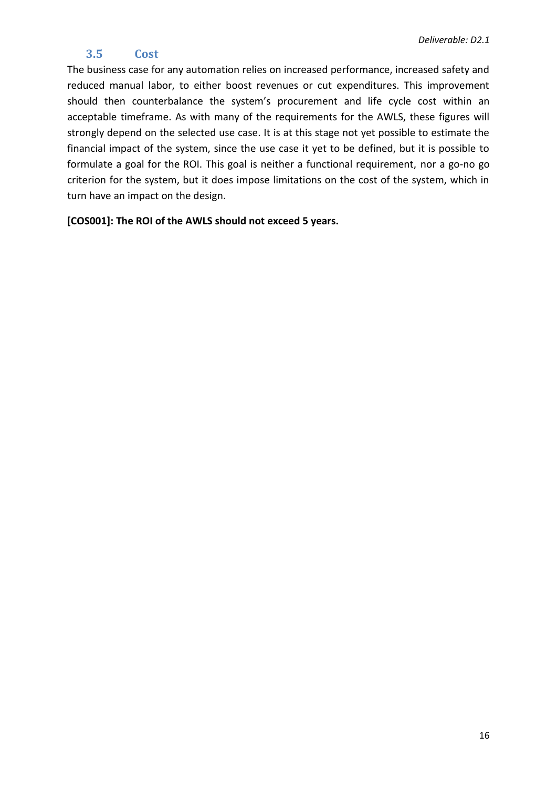## **3.5 Cost**

<span id="page-15-0"></span>The business case for any automation relies on increased performance, increased safety and reduced manual labor, to either boost revenues or cut expenditures. This improvement should then counterbalance the system's procurement and life cycle cost within an acceptable timeframe. As with many of the requirements for the AWLS, these figures will strongly depend on the selected use case. It is at this stage not yet possible to estimate the financial impact of the system, since the use case it yet to be defined, but it is possible to formulate a goal for the ROI. This goal is neither a functional requirement, nor a go-no go criterion for the system, but it does impose limitations on the cost of the system, which in turn have an impact on the design.

**[COS001]: The ROI of the AWLS should not exceed 5 years.**